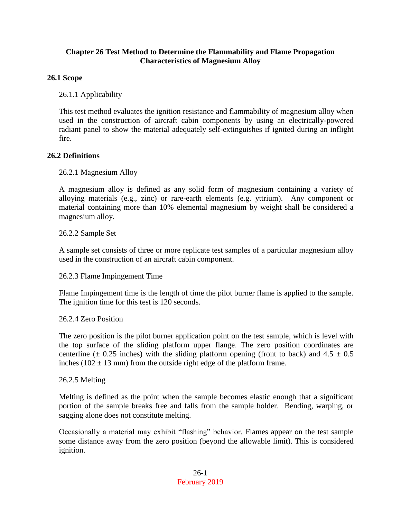### **Chapter 26 Test Method to Determine the Flammability and Flame Propagation Characteristics of Magnesium Alloy**

## **26.1 Scope**

26.1.1 Applicability

This test method evaluates the ignition resistance and flammability of magnesium alloy when used in the construction of aircraft cabin components by using an electrically-powered radiant panel to show the material adequately self-extinguishes if ignited during an inflight fire.

### **26.2 Definitions**

26.2.1 Magnesium Alloy

A magnesium alloy is defined as any solid form of magnesium containing a variety of alloying materials (e.g., zinc) or rare-earth elements (e.g. yttrium). Any component or material containing more than 10% elemental magnesium by weight shall be considered a magnesium alloy.

26.2.2 Sample Set

A sample set consists of three or more replicate test samples of a particular magnesium alloy used in the construction of an aircraft cabin component.

26.2.3 Flame Impingement Time

Flame Impingement time is the length of time the pilot burner flame is applied to the sample. The ignition time for this test is 120 seconds.

### 26.2.4 Zero Position

The zero position is the pilot burner application point on the test sample, which is level with the top surface of the sliding platform upper flange. The zero position coordinates are centerline ( $\pm$  0.25 inches) with the sliding platform opening (front to back) and 4.5  $\pm$  0.5 inches ( $102 \pm 13$  mm) from the outside right edge of the platform frame.

#### 26.2.5 Melting

Melting is defined as the point when the sample becomes elastic enough that a significant portion of the sample breaks free and falls from the sample holder. Bending, warping, or sagging alone does not constitute melting.

Occasionally a material may exhibit "flashing" behavior. Flames appear on the test sample some distance away from the zero position (beyond the allowable limit). This is considered ignition.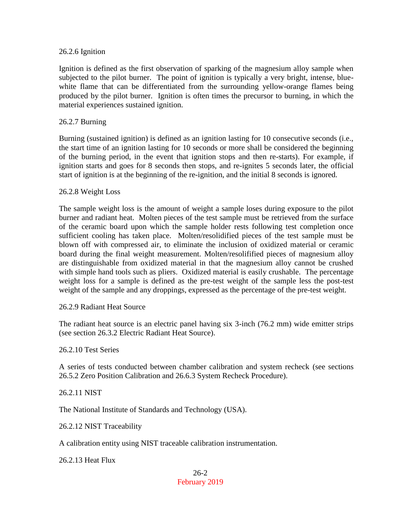#### 26.2.6 Ignition

Ignition is defined as the first observation of sparking of the magnesium alloy sample when subjected to the pilot burner. The point of ignition is typically a very bright, intense, bluewhite flame that can be differentiated from the surrounding yellow-orange flames being produced by the pilot burner. Ignition is often times the precursor to burning, in which the material experiences sustained ignition.

#### 26.2.7 Burning

Burning (sustained ignition) is defined as an ignition lasting for 10 consecutive seconds (i.e., the start time of an ignition lasting for 10 seconds or more shall be considered the beginning of the burning period, in the event that ignition stops and then re-starts). For example, if ignition starts and goes for 8 seconds then stops, and re-ignites 5 seconds later, the official start of ignition is at the beginning of the re-ignition, and the initial 8 seconds is ignored.

#### 26.2.8 Weight Loss

The sample weight loss is the amount of weight a sample loses during exposure to the pilot burner and radiant heat. Molten pieces of the test sample must be retrieved from the surface of the ceramic board upon which the sample holder rests following test completion once sufficient cooling has taken place. Molten/resolidified pieces of the test sample must be blown off with compressed air, to eliminate the inclusion of oxidized material or ceramic board during the final weight measurement. Molten/resolifified pieces of magnesium alloy are distinguishable from oxidized material in that the magnesium alloy cannot be crushed with simple hand tools such as pliers. Oxidized material is easily crushable. The percentage weight loss for a sample is defined as the pre-test weight of the sample less the post-test weight of the sample and any droppings, expressed as the percentage of the pre-test weight.

#### 26.2.9 Radiant Heat Source

The radiant heat source is an electric panel having six 3-inch (76.2 mm) wide emitter strips (see section 26.3.2 Electric Radiant Heat Source).

26.2.10 Test Series

A series of tests conducted between chamber calibration and system recheck (see sections 26.5.2 Zero Position Calibration and 26.6.3 System Recheck Procedure).

26.2.11 NIST

The National Institute of Standards and Technology (USA).

26.2.12 NIST Traceability

A calibration entity using NIST traceable calibration instrumentation.

26.2.13 Heat Flux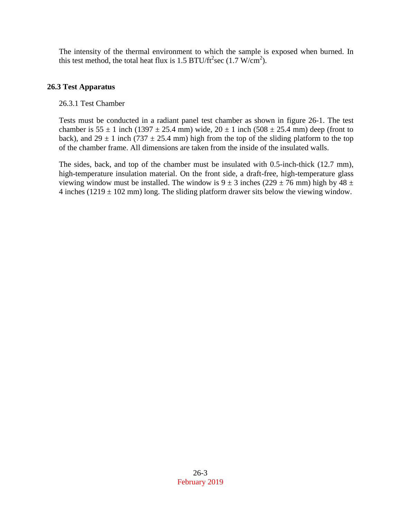The intensity of the thermal environment to which the sample is exposed when burned. In this test method, the total heat flux is 1.5 BTU/ft<sup>2</sup>sec (1.7 W/cm<sup>2</sup>).

# **26.3 Test Apparatus**

# 26.3.1 Test Chamber

Tests must be conducted in a radiant panel test chamber as shown in figure 26-1. The test chamber is  $55 \pm 1$  inch (1397  $\pm 25.4$  mm) wide,  $20 \pm 1$  inch (508  $\pm 25.4$  mm) deep (front to back), and  $29 \pm 1$  inch (737  $\pm 25.4$  mm) high from the top of the sliding platform to the top of the chamber frame. All dimensions are taken from the inside of the insulated walls.

The sides, back, and top of the chamber must be insulated with 0.5-inch-thick (12.7 mm), high-temperature insulation material. On the front side, a draft-free, high-temperature glass viewing window must be installed. The window is  $9 \pm 3$  inches (229  $\pm$  76 mm) high by 48  $\pm$ 4 inches (1219  $\pm$  102 mm) long. The sliding platform drawer sits below the viewing window.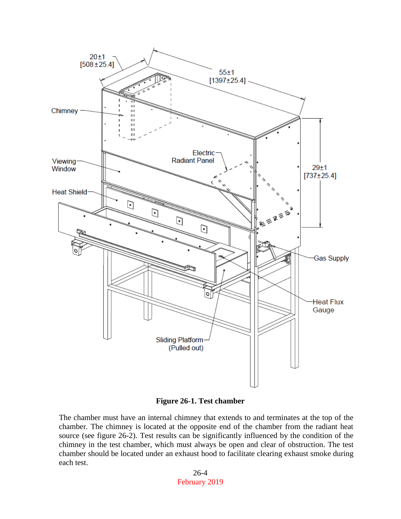

**Figure 26-1. Test chamber**

The chamber must have an internal chimney that extends to and terminates at the top of the chamber. The chimney is located at the opposite end of the chamber from the radiant heat source (see figure 26-2). Test results can be significantly influenced by the condition of the chimney in the test chamber, which must always be open and clear of obstruction. The test chamber should be located under an exhaust hood to facilitate clearing exhaust smoke during each test.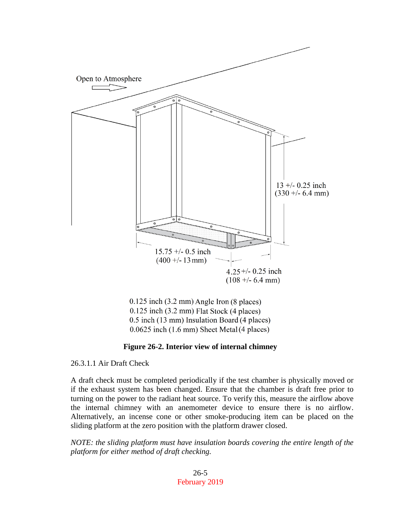

0.125 inch (3.2 mm) Angle Iron (8 places)  $0.125$  inch  $(3.2$  mm) Flat Stock  $(4$  places) 0.5 inch (13 mm) Insulation Board (4 places)  $0.0625$  inch  $(1.6$  mm) Sheet Metal $(4$  places)

#### **Figure 26-2. Interior view of internal chimney**

26.3.1.1 Air Draft Check

A draft check must be completed periodically if the test chamber is physically moved or if the exhaust system has been changed. Ensure that the chamber is draft free prior to turning on the power to the radiant heat source. To verify this, measure the airflow above the internal chimney with an anemometer device to ensure there is no airflow. Alternatively, an incense cone or other smoke-producing item can be placed on the sliding platform at the zero position with the platform drawer closed.

*NOTE: the sliding platform must have insulation boards covering the entire length of the platform for either method of draft checking.*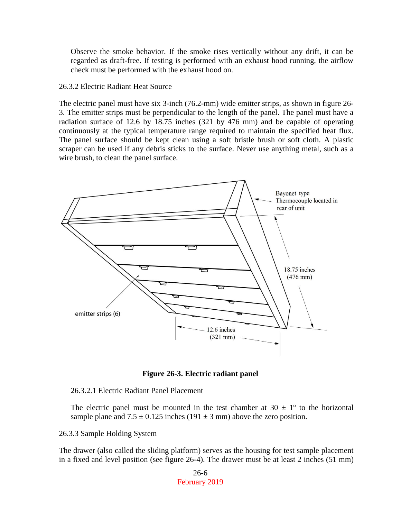Observe the smoke behavior. If the smoke rises vertically without any drift, it can be regarded as draft-free. If testing is performed with an exhaust hood running, the airflow check must be performed with the exhaust hood on.

#### 26.3.2 Electric Radiant Heat Source

The electric panel must have six 3-inch (76.2-mm) wide emitter strips, as shown in figure 26- 3. The emitter strips must be perpendicular to the length of the panel. The panel must have a radiation surface of 12.6 by 18.75 inches (321 by 476 mm) and be capable of operating continuously at the typical temperature range required to maintain the specified heat flux. The panel surface should be kept clean using a soft bristle brush or soft cloth. A plastic scraper can be used if any debris sticks to the surface. Never use anything metal, such as a wire brush, to clean the panel surface.



**Figure 26-3. Electric radiant panel**

26.3.2.1 Electric Radiant Panel Placement

The electric panel must be mounted in the test chamber at  $30 \pm 1^{\circ}$  to the horizontal sample plane and  $7.5 \pm 0.125$  inches (191  $\pm$  3 mm) above the zero position.

26.3.3 Sample Holding System

The drawer (also called the sliding platform) serves as the housing for test sample placement in a fixed and level position (see figure 26-4). The drawer must be at least 2 inches (51 mm)

> 26-6 February 2019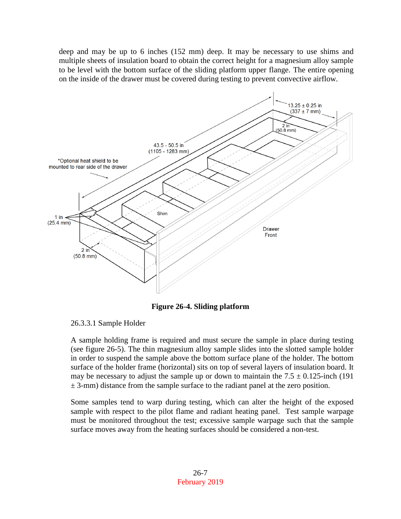deep and may be up to 6 inches (152 mm) deep. It may be necessary to use shims and multiple sheets of insulation board to obtain the correct height for a magnesium alloy sample to be level with the bottom surface of the sliding platform upper flange. The entire opening on the inside of the drawer must be covered during testing to prevent convective airflow.



**Figure 26-4. Sliding platform**

A sample holding frame is required and must secure the sample in place during testing (see figure 26-5). The thin magnesium alloy sample slides into the slotted sample holder in order to suspend the sample above the bottom surface plane of the holder. The bottom surface of the holder frame (horizontal) sits on top of several layers of insulation board. It may be necessary to adjust the sample up or down to maintain the  $7.5 \pm 0.125$ -inch (191)  $\pm$  3-mm) distance from the sample surface to the radiant panel at the zero position.

Some samples tend to warp during testing, which can alter the height of the exposed sample with respect to the pilot flame and radiant heating panel. Test sample warpage must be monitored throughout the test; excessive sample warpage such that the sample surface moves away from the heating surfaces should be considered a non-test.

<sup>26.3.3.1</sup> Sample Holder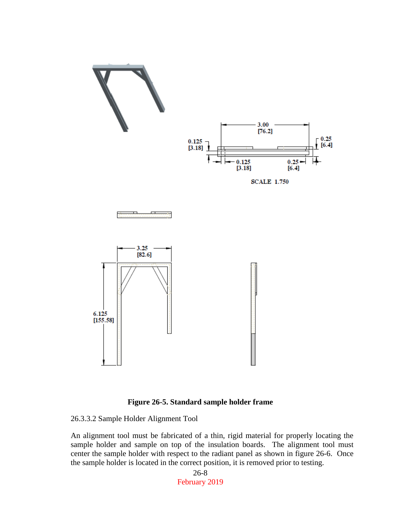

### **Figure 26-5. Standard sample holder frame**

26.3.3.2 Sample Holder Alignment Tool

An alignment tool must be fabricated of a thin, rigid material for properly locating the sample holder and sample on top of the insulation boards. The alignment tool must center the sample holder with respect to the radiant panel as shown in figure 26-6. Once the sample holder is located in the correct position, it is removed prior to testing.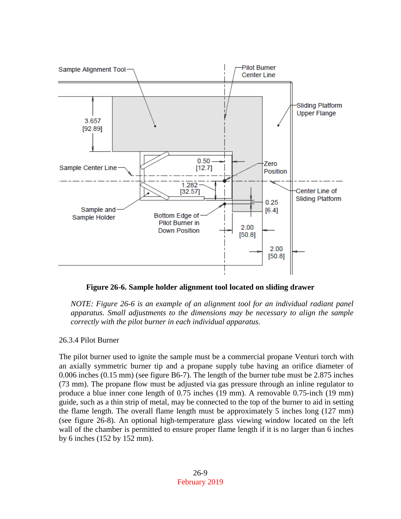

**Figure 26-6. Sample holder alignment tool located on sliding drawer**

*NOTE: Figure 26-6 is an example of an alignment tool for an individual radiant panel apparatus. Small adjustments to the dimensions may be necessary to align the sample correctly with the pilot burner in each individual apparatus.*

#### 26.3.4 Pilot Burner

The pilot burner used to ignite the sample must be a commercial propane Venturi torch with an axially symmetric burner tip and a propane supply tube having an orifice diameter of 0.006 inches (0.15 mm) (see figure B6-7). The length of the burner tube must be 2.875 inches (73 mm). The propane flow must be adjusted via gas pressure through an inline regulator to produce a blue inner cone length of 0.75 inches (19 mm). A removable 0.75-inch (19 mm) guide, such as a thin strip of metal, may be connected to the top of the burner to aid in setting the flame length. The overall flame length must be approximately 5 inches long (127 mm) (see figure 26-8). An optional high-temperature glass viewing window located on the left wall of the chamber is permitted to ensure proper flame length if it is no larger than 6 inches by 6 inches (152 by 152 mm).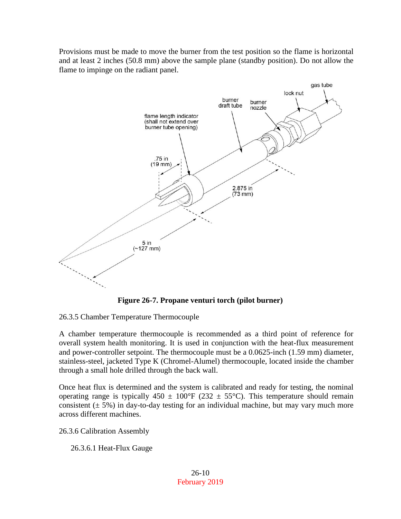Provisions must be made to move the burner from the test position so the flame is horizontal and at least 2 inches (50.8 mm) above the sample plane (standby position). Do not allow the flame to impinge on the radiant panel.



**Figure 26-7. Propane venturi torch (pilot burner)**

26.3.5 Chamber Temperature Thermocouple

A chamber temperature thermocouple is recommended as a third point of reference for overall system health monitoring. It is used in conjunction with the heat-flux measurement and power-controller setpoint. The thermocouple must be a 0.0625-inch (1.59 mm) diameter, stainless-steel, jacketed Type K (Chromel-Alumel) thermocouple, located inside the chamber through a small hole drilled through the back wall.

Once heat flux is determined and the system is calibrated and ready for testing, the nominal operating range is typically  $450 \pm 100^{\circ}F$  (232  $\pm 55^{\circ}C$ ). This temperature should remain consistent  $(\pm 5\%)$  in day-to-day testing for an individual machine, but may vary much more across different machines.

26.3.6 Calibration Assembly

26.3.6.1 Heat-Flux Gauge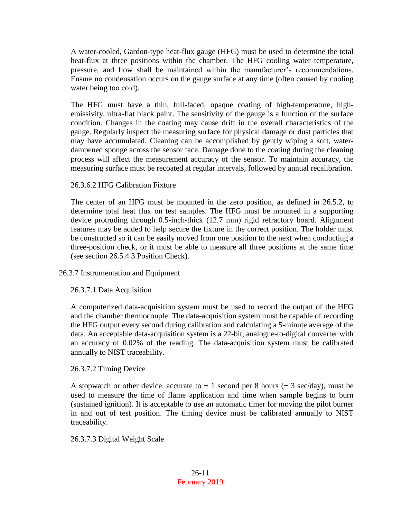A water-cooled, Gardon-type heat-flux gauge (HFG) must be used to determine the total heat-flux at three positions within the chamber. The HFG cooling water temperature, pressure, and flow shall be maintained within the manufacturer's recommendations. Ensure no condensation occurs on the gauge surface at any time (often caused by cooling water being too cold).

The HFG must have a thin, full-faced, opaque coating of high-temperature, highemissivity, ultra-flat black paint. The sensitivity of the gauge is a function of the surface condition. Changes in the coating may cause drift in the overall characteristics of the gauge. Regularly inspect the measuring surface for physical damage or dust particles that may have accumulated. Cleaning can be accomplished by gently wiping a soft, waterdampened sponge across the sensor face. Damage done to the coating during the cleaning process will affect the measurement accuracy of the sensor. To maintain accuracy, the measuring surface must be recoated at regular intervals, followed by annual recalibration.

### 26.3.6.2 HFG Calibration Fixture

The center of an HFG must be mounted in the zero position, as defined in 26.5.2, to determine total heat flux on test samples. The HFG must be mounted in a supporting device protruding through 0.5-inch-thick (12.7 mm) rigid refractory board. Alignment features may be added to help secure the fixture in the correct position. The holder must be constructed so it can be easily moved from one position to the next when conducting a three-position check, or it must be able to measure all three positions at the same time (see section 26.5.4 3 Position Check).

### 26.3.7 Instrumentation and Equipment

### 26.3.7.1 Data Acquisition

A computerized data-acquisition system must be used to record the output of the HFG and the chamber thermocouple. The data-acquisition system must be capable of recording the HFG output every second during calibration and calculating a 5-minute average of the data. An acceptable data-acquisition system is a 22-bit, analogue-to-digital converter with an accuracy of 0.02% of the reading. The data-acquisition system must be calibrated annually to NIST traceability.

### 26.3.7.2 Timing Device

A stopwatch or other device, accurate to  $\pm 1$  second per 8 hours ( $\pm 3$  sec/day), must be used to measure the time of flame application and time when sample begins to burn (sustained ignition). It is acceptable to use an automatic timer for moving the pilot burner in and out of test position. The timing device must be calibrated annually to NIST traceability.

### 26.3.7.3 Digital Weight Scale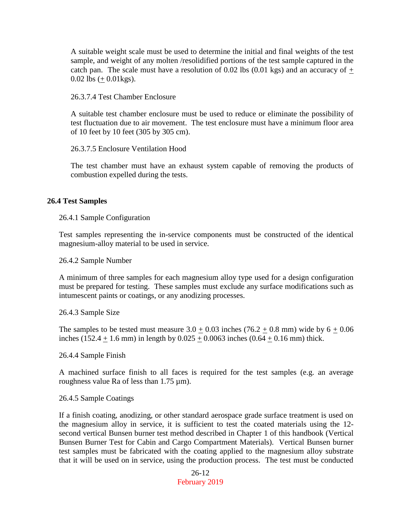A suitable weight scale must be used to determine the initial and final weights of the test sample, and weight of any molten /resolidified portions of the test sample captured in the catch pan. The scale must have a resolution of 0.02 lbs (0.01 kgs) and an accuracy of  $+$ 0.02 lbs  $(+ 0.01 \text{kg})$ .

26.3.7.4 Test Chamber Enclosure

A suitable test chamber enclosure must be used to reduce or eliminate the possibility of test fluctuation due to air movement. The test enclosure must have a minimum floor area of 10 feet by 10 feet (305 by 305 cm).

26.3.7.5 Enclosure Ventilation Hood

The test chamber must have an exhaust system capable of removing the products of combustion expelled during the tests.

#### **26.4 Test Samples**

26.4.1 Sample Configuration

Test samples representing the in-service components must be constructed of the identical magnesium-alloy material to be used in service.

26.4.2 Sample Number

A minimum of three samples for each magnesium alloy type used for a design configuration must be prepared for testing. These samples must exclude any surface modifications such as intumescent paints or coatings, or any anodizing processes.

26.4.3 Sample Size

The samples to be tested must measure  $3.0 + 0.03$  inches  $(76.2 + 0.8 \text{ mm})$  wide by  $6 + 0.06$ inches (152.4  $\pm$  1.6 mm) in length by 0.025  $\pm$  0.0063 inches (0.64  $\pm$  0.16 mm) thick.

26.4.4 Sample Finish

A machined surface finish to all faces is required for the test samples (e.g. an average roughness value Ra of less than 1.75 µm).

26.4.5 Sample Coatings

If a finish coating, anodizing, or other standard aerospace grade surface treatment is used on the magnesium alloy in service, it is sufficient to test the coated materials using the 12 second vertical Bunsen burner test method described in Chapter 1 of this handbook (Vertical Bunsen Burner Test for Cabin and Cargo Compartment Materials). Vertical Bunsen burner test samples must be fabricated with the coating applied to the magnesium alloy substrate that it will be used on in service, using the production process. The test must be conducted

> 26-12 February 2019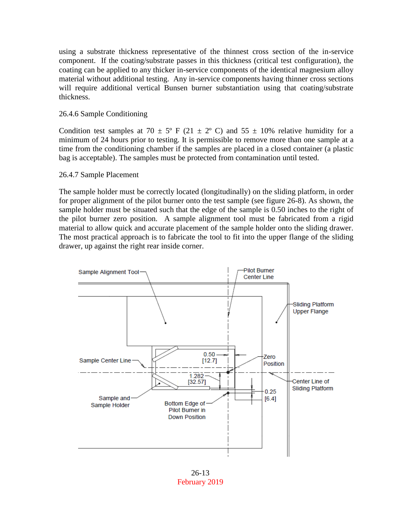using a substrate thickness representative of the thinnest cross section of the in-service component. If the coating/substrate passes in this thickness (critical test configuration), the coating can be applied to any thicker in-service components of the identical magnesium alloy material without additional testing. Any in-service components having thinner cross sections will require additional vertical Bunsen burner substantiation using that coating/substrate thickness.

### 26.4.6 Sample Conditioning

Condition test samples at 70  $\pm$  5° F (21  $\pm$  2° C) and 55  $\pm$  10% relative humidity for a minimum of 24 hours prior to testing. It is permissible to remove more than one sample at a time from the conditioning chamber if the samples are placed in a closed container (a plastic bag is acceptable). The samples must be protected from contamination until tested.

#### 26.4.7 Sample Placement

The sample holder must be correctly located (longitudinally) on the sliding platform, in order for proper alignment of the pilot burner onto the test sample (see figure 26-8). As shown, the sample holder must be situated such that the edge of the sample is 0.50 inches to the right of the pilot burner zero position. A sample alignment tool must be fabricated from a rigid material to allow quick and accurate placement of the sample holder onto the sliding drawer. The most practical approach is to fabricate the tool to fit into the upper flange of the sliding drawer, up against the right rear inside corner.



26-13 February 2019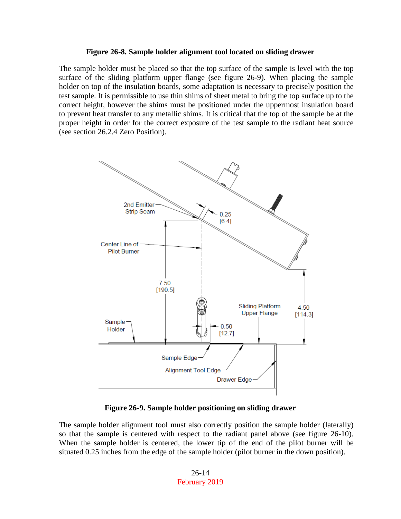#### **Figure 26-8. Sample holder alignment tool located on sliding drawer**

The sample holder must be placed so that the top surface of the sample is level with the top surface of the sliding platform upper flange (see figure 26-9). When placing the sample holder on top of the insulation boards, some adaptation is necessary to precisely position the test sample. It is permissible to use thin shims of sheet metal to bring the top surface up to the correct height, however the shims must be positioned under the uppermost insulation board to prevent heat transfer to any metallic shims. It is critical that the top of the sample be at the proper height in order for the correct exposure of the test sample to the radiant heat source (see section 26.2.4 Zero Position).



**Figure 26-9. Sample holder positioning on sliding drawer**

The sample holder alignment tool must also correctly position the sample holder (laterally) so that the sample is centered with respect to the radiant panel above (see figure 26-10). When the sample holder is centered, the lower tip of the end of the pilot burner will be situated 0.25 inches from the edge of the sample holder (pilot burner in the down position).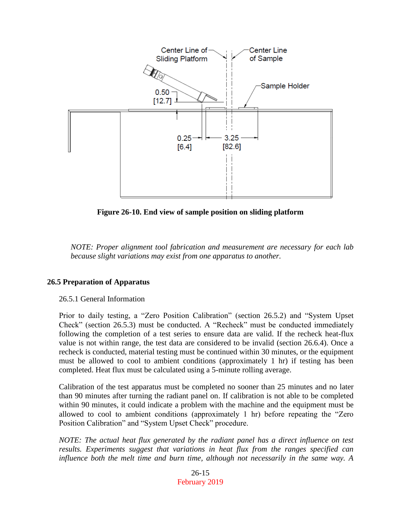

**Figure 26-10. End view of sample position on sliding platform**

*NOTE: Proper alignment tool fabrication and measurement are necessary for each lab because slight variations may exist from one apparatus to another.*

### **26.5 Preparation of Apparatus**

#### 26.5.1 General Information

Prior to daily testing, a "Zero Position Calibration" (section 26.5.2) and "System Upset Check" (section 26.5.3) must be conducted. A "Recheck" must be conducted immediately following the completion of a test series to ensure data are valid. If the recheck heat-flux value is not within range, the test data are considered to be invalid (section 26.6.4). Once a recheck is conducted, material testing must be continued within 30 minutes, or the equipment must be allowed to cool to ambient conditions (approximately 1 hr) if testing has been completed. Heat flux must be calculated using a 5-minute rolling average.

Calibration of the test apparatus must be completed no sooner than 25 minutes and no later than 90 minutes after turning the radiant panel on. If calibration is not able to be completed within 90 minutes, it could indicate a problem with the machine and the equipment must be allowed to cool to ambient conditions (approximately 1 hr) before repeating the "Zero Position Calibration" and "System Upset Check" procedure.

*NOTE: The actual heat flux generated by the radiant panel has a direct influence on test results. Experiments suggest that variations in heat flux from the ranges specified can influence both the melt time and burn time, although not necessarily in the same way. A* 

> 26-15 February 2019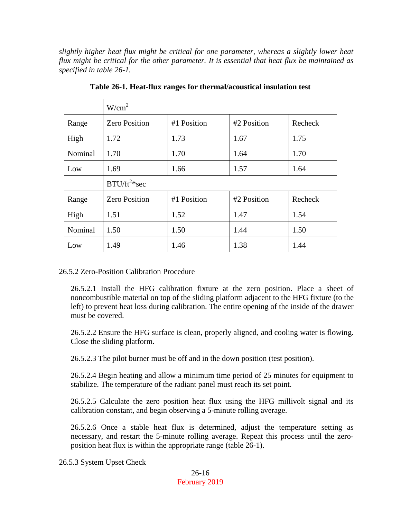*slightly higher heat flux might be critical for one parameter, whereas a slightly lower heat flux might be critical for the other parameter. It is essential that heat flux be maintained as specified in table 26-1.*

|         | W/cm <sup>2</sup>    |             |             |         |
|---------|----------------------|-------------|-------------|---------|
| Range   | <b>Zero Position</b> | #1 Position | #2 Position | Recheck |
| High    | 1.72                 | 1.73        | 1.67        | 1.75    |
| Nominal | 1.70                 | 1.70        | 1.64        | 1.70    |
| Low     | 1.69                 | 1.66        | 1.57        | 1.64    |
|         | $B T U/ft^2$ *sec    |             |             |         |
| Range   | <b>Zero Position</b> | #1 Position | #2 Position | Recheck |
| High    | 1.51                 | 1.52        | 1.47        | 1.54    |
| Nominal | 1.50                 | 1.50        | 1.44        | 1.50    |
| Low     | 1.49                 | 1.46        | 1.38        | 1.44    |

**Table 26-1. Heat-flux ranges for thermal/acoustical insulation test**

26.5.2 Zero-Position Calibration Procedure

26.5.2.1 Install the HFG calibration fixture at the zero position. Place a sheet of noncombustible material on top of the sliding platform adjacent to the HFG fixture (to the left) to prevent heat loss during calibration. The entire opening of the inside of the drawer must be covered.

26.5.2.2 Ensure the HFG surface is clean, properly aligned, and cooling water is flowing. Close the sliding platform.

26.5.2.3 The pilot burner must be off and in the down position (test position).

26.5.2.4 Begin heating and allow a minimum time period of 25 minutes for equipment to stabilize. The temperature of the radiant panel must reach its set point.

26.5.2.5 Calculate the zero position heat flux using the HFG millivolt signal and its calibration constant, and begin observing a 5-minute rolling average.

26.5.2.6 Once a stable heat flux is determined, adjust the temperature setting as necessary, and restart the 5-minute rolling average. Repeat this process until the zeroposition heat flux is within the appropriate range (table 26-1).

26.5.3 System Upset Check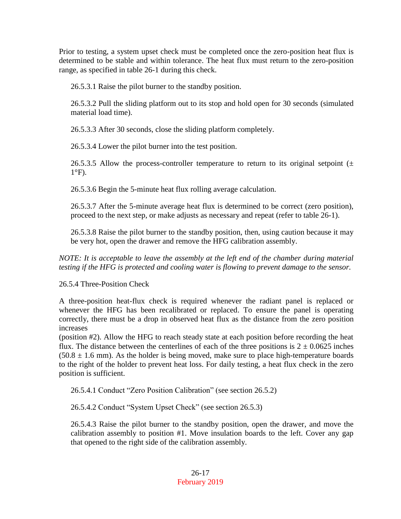Prior to testing, a system upset check must be completed once the zero-position heat flux is determined to be stable and within tolerance. The heat flux must return to the zero-position range, as specified in table 26-1 during this check.

26.5.3.1 Raise the pilot burner to the standby position.

26.5.3.2 Pull the sliding platform out to its stop and hold open for 30 seconds (simulated material load time).

26.5.3.3 After 30 seconds, close the sliding platform completely.

26.5.3.4 Lower the pilot burner into the test position.

26.5.3.5 Allow the process-controller temperature to return to its original setpoint  $(±$  $1^{\circ}$ F).

26.5.3.6 Begin the 5-minute heat flux rolling average calculation.

26.5.3.7 After the 5-minute average heat flux is determined to be correct (zero position), proceed to the next step, or make adjusts as necessary and repeat (refer to table 26-1).

26.5.3.8 Raise the pilot burner to the standby position, then, using caution because it may be very hot, open the drawer and remove the HFG calibration assembly.

*NOTE: It is acceptable to leave the assembly at the left end of the chamber during material testing if the HFG is protected and cooling water is flowing to prevent damage to the sensor.*

26.5.4 Three-Position Check

A three-position heat-flux check is required whenever the radiant panel is replaced or whenever the HFG has been recalibrated or replaced. To ensure the panel is operating correctly, there must be a drop in observed heat flux as the distance from the zero position increases

(position #2). Allow the HFG to reach steady state at each position before recording the heat flux. The distance between the centerlines of each of the three positions is  $2 \pm 0.0625$  inches  $(50.8 \pm 1.6 \text{ mm})$ . As the holder is being moved, make sure to place high-temperature boards to the right of the holder to prevent heat loss. For daily testing, a heat flux check in the zero position is sufficient.

26.5.4.1 Conduct "Zero Position Calibration" (see section 26.5.2)

26.5.4.2 Conduct "System Upset Check" (see section 26.5.3)

26.5.4.3 Raise the pilot burner to the standby position, open the drawer, and move the calibration assembly to position #1. Move insulation boards to the left. Cover any gap that opened to the right side of the calibration assembly.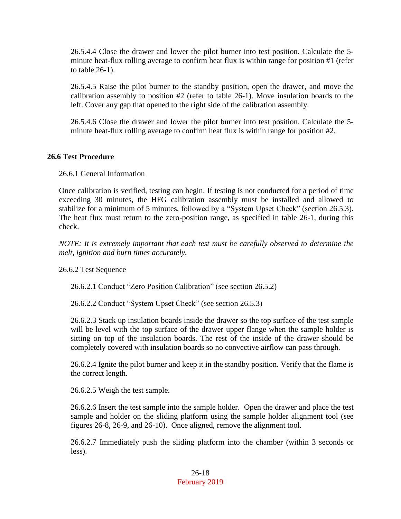26.5.4.4 Close the drawer and lower the pilot burner into test position. Calculate the 5 minute heat-flux rolling average to confirm heat flux is within range for position #1 (refer to table 26-1).

26.5.4.5 Raise the pilot burner to the standby position, open the drawer, and move the calibration assembly to position #2 (refer to table 26-1). Move insulation boards to the left. Cover any gap that opened to the right side of the calibration assembly.

26.5.4.6 Close the drawer and lower the pilot burner into test position. Calculate the 5 minute heat-flux rolling average to confirm heat flux is within range for position #2.

### **26.6 Test Procedure**

26.6.1 General Information

Once calibration is verified, testing can begin. If testing is not conducted for a period of time exceeding 30 minutes, the HFG calibration assembly must be installed and allowed to stabilize for a minimum of 5 minutes, followed by a "System Upset Check" (section 26.5.3). The heat flux must return to the zero-position range, as specified in table 26-1, during this check.

*NOTE: It is extremely important that each test must be carefully observed to determine the melt, ignition and burn times accurately.*

26.6.2 Test Sequence

26.6.2.1 Conduct "Zero Position Calibration" (see section 26.5.2)

26.6.2.2 Conduct "System Upset Check" (see section 26.5.3)

26.6.2.3 Stack up insulation boards inside the drawer so the top surface of the test sample will be level with the top surface of the drawer upper flange when the sample holder is sitting on top of the insulation boards. The rest of the inside of the drawer should be completely covered with insulation boards so no convective airflow can pass through.

26.6.2.4 Ignite the pilot burner and keep it in the standby position. Verify that the flame is the correct length.

26.6.2.5 Weigh the test sample.

26.6.2.6 Insert the test sample into the sample holder. Open the drawer and place the test sample and holder on the sliding platform using the sample holder alignment tool (see figures 26-8, 26-9, and 26-10). Once aligned, remove the alignment tool.

26.6.2.7 Immediately push the sliding platform into the chamber (within 3 seconds or less).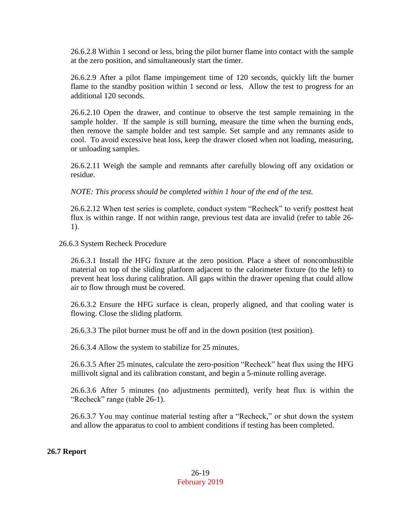26.6.2.8 Within 1 second or less, bring the pilot burner flame into contact with the sample at the zero position, and simultaneously start the timer.

26.6.2.9 After a pilot flame impingement time of 120 seconds, quickly lift the burner flame to the standby position within 1 second or less. Allow the test to progress for an additional 120 seconds.

26.6.2.10 Open the drawer, and continue to observe the test sample remaining in the sample holder. If the sample is still burning, measure the time when the burning ends, then remove the sample holder and test sample. Set sample and any remnants aside to cool. To avoid excessive heat loss, keep the drawer closed when not loading, measuring, or unloading samples.

26.6.2.11 Weigh the sample and remnants after carefully blowing off any oxidation or residue.

*NOTE: This process should be completed within 1 hour of the end of the test.*

26.6.2.12 When test series is complete, conduct system "Recheck" to verify posttest heat flux is within range. If not within range, previous test data are invalid (refer to table 26- 1).

26.6.3 System Recheck Procedure

26.6.3.1 Install the HFG fixture at the zero position. Place a sheet of noncombustible material on top of the sliding platform adjacent to the calorimeter fixture (to the left) to prevent heat loss during calibration. All gaps within the drawer opening that could allow air to flow through must be covered.

26.6.3.2 Ensure the HFG surface is clean, properly aligned, and that cooling water is flowing. Close the sliding platform.

26.6.3.3 The pilot burner must be off and in the down position (test position).

26.6.3.4 Allow the system to stabilize for 25 minutes.

26.6.3.5 After 25 minutes, calculate the zero-position "Recheck" heat flux using the HFG millivolt signal and its calibration constant, and begin a 5-minute rolling average.

26.6.3.6 After 5 minutes (no adjustments permitted), verify heat flux is within the "Recheck" range (table 26-1).

26.6.3.7 You may continue material testing after a "Recheck," or shut down the system and allow the apparatus to cool to ambient conditions if testing has been completed.

#### **26.7 Report**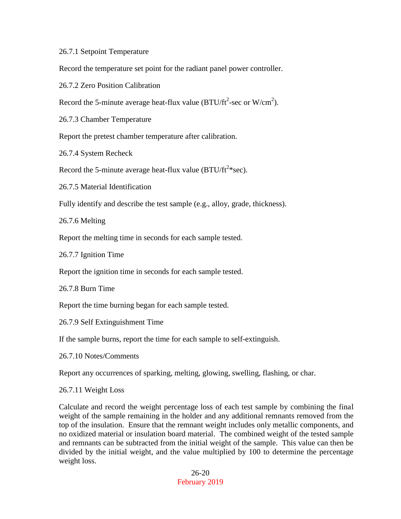26.7.1 Setpoint Temperature

Record the temperature set point for the radiant panel power controller.

26.7.2 Zero Position Calibration

Record the 5-minute average heat-flux value (BTU/ft<sup>2</sup>-sec or W/cm<sup>2</sup>).

26.7.3 Chamber Temperature

Report the pretest chamber temperature after calibration.

26.7.4 System Recheck

Record the 5-minute average heat-flux value (BTU/ft<sup>2\*</sup>sec).

26.7.5 Material Identification

Fully identify and describe the test sample (e.g., alloy, grade, thickness).

26.7.6 Melting

Report the melting time in seconds for each sample tested.

26.7.7 Ignition Time

Report the ignition time in seconds for each sample tested.

26.7.8 Burn Time

Report the time burning began for each sample tested.

26.7.9 Self Extinguishment Time

If the sample burns, report the time for each sample to self-extinguish.

26.7.10 Notes/Comments

Report any occurrences of sparking, melting, glowing, swelling, flashing, or char.

26.7.11 Weight Loss

Calculate and record the weight percentage loss of each test sample by combining the final weight of the sample remaining in the holder and any additional remnants removed from the top of the insulation. Ensure that the remnant weight includes only metallic components, and no oxidized material or insulation board material. The combined weight of the tested sample and remnants can be subtracted from the initial weight of the sample. This value can then be divided by the initial weight, and the value multiplied by 100 to determine the percentage weight loss.

> 26-20 February 2019